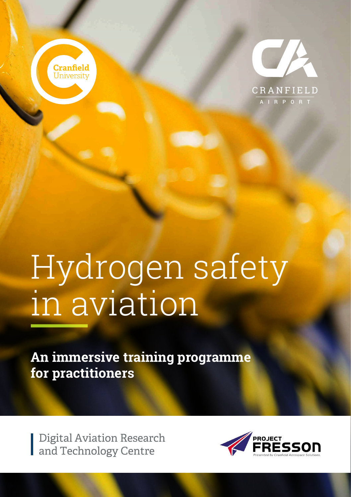



## Hydrogen safety in aviation

**An immersive training programme for practitioners**

Digital Aviation Research and Technology Centre

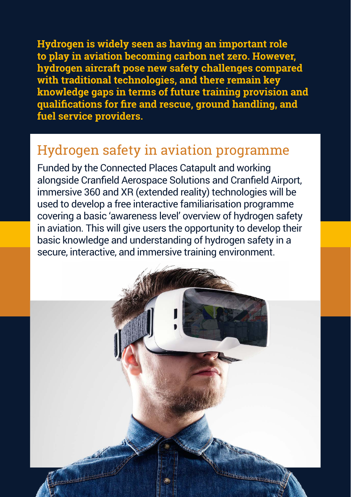**Hydrogen is widely seen as having an important role to play in aviation becoming carbon net zero. However, hydrogen aircraft pose new safety challenges compared with traditional technologies, and there remain key knowledge gaps in terms of future training provision and qualifications for fire and rescue, ground handling, and fuel service providers.** 

## Hydrogen safety in aviation programme

Funded by the Connected Places Catapult and working alongside Cranfield Aerospace Solutions and Cranfield Airport, immersive 360 and XR (extended reality) technologies will be used to develop a free interactive familiarisation programme covering a basic 'awareness level' overview of hydrogen safety in aviation. This will give users the opportunity to develop their basic knowledge and understanding of hydrogen safety in a secure, interactive, and immersive training environment.

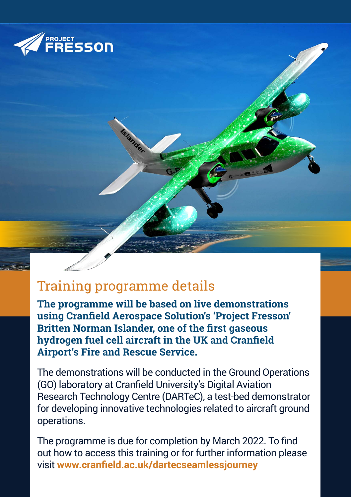

## Training programme details

Grander

**The programme will be based on live demonstrations using Cranfield Aerospace Solution's 'Project Fresson' Britten Norman Islander, one of the first gaseous hydrogen fuel cell aircraft in the UK and Cranfield Airport's Fire and Rescue Service.**

The demonstrations will be conducted in the Ground Operations (GO) laboratory at Cranfield University's Digital Aviation Research Technology Centre (DARTeC), a test-bed demonstrator for developing innovative technologies related to aircraft ground operations.

The programme is due for completion by March 2022. To find out how to access this training or for further information please visit **[www.cranfield.ac.uk/dartecseamlessjourney](https://www.cranfield.ac.uk/centres/digital-aviation-research-and-technology-centre/seamless-journey)**